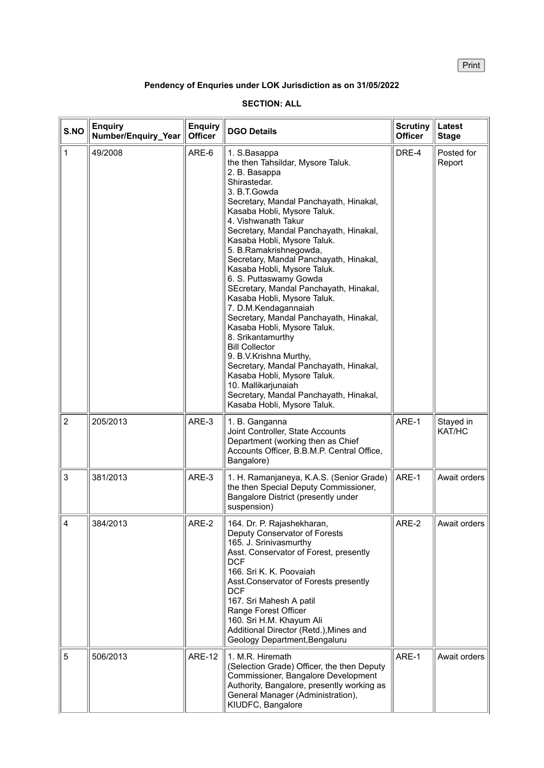**Print** 

## **Pendency of Enquries under LOK Jurisdiction as on 31/05/2022**

| S.NO           | <b>Enquiry</b><br>Number/Enquiry_Year | <b>Enquiry</b><br><b>Officer</b> | <b>DGO Details</b>                                                                                                                                                                                                                                                                                                                                                                                                                                                                                                                                                                                                                                                                                                                                                                                                                  | <b>Scrutiny</b><br><b>Officer</b> | Latest<br><b>Stage</b> |
|----------------|---------------------------------------|----------------------------------|-------------------------------------------------------------------------------------------------------------------------------------------------------------------------------------------------------------------------------------------------------------------------------------------------------------------------------------------------------------------------------------------------------------------------------------------------------------------------------------------------------------------------------------------------------------------------------------------------------------------------------------------------------------------------------------------------------------------------------------------------------------------------------------------------------------------------------------|-----------------------------------|------------------------|
| $\mathbf{1}$   | 49/2008                               | ARE-6                            | 1. S.Basappa<br>the then Tahsildar, Mysore Taluk.<br>2. B. Basappa<br>Shirastedar.<br>3. B.T.Gowda<br>Secretary, Mandal Panchayath, Hinakal,<br>Kasaba Hobli, Mysore Taluk.<br>4. Vishwanath Takur<br>Secretary, Mandal Panchayath, Hinakal,<br>Kasaba Hobli, Mysore Taluk.<br>5. B.Ramakrishnegowda,<br>Secretary, Mandal Panchayath, Hinakal,<br>Kasaba Hobli, Mysore Taluk.<br>6. S. Puttaswamy Gowda<br>SEcretary, Mandal Panchayath, Hinakal,<br>Kasaba Hobli, Mysore Taluk.<br>7. D.M.Kendagannaiah<br>Secretary, Mandal Panchayath, Hinakal,<br>Kasaba Hobli, Mysore Taluk.<br>8. Srikantamurthy<br><b>Bill Collector</b><br>9. B.V.Krishna Murthy,<br>Secretary, Mandal Panchayath, Hinakal,<br>Kasaba Hobli, Mysore Taluk.<br>10. Mallikarjunaiah<br>Secretary, Mandal Panchayath, Hinakal,<br>Kasaba Hobli, Mysore Taluk. | DRE-4                             | Posted for<br>Report   |
| $\overline{2}$ | 205/2013                              | ARE-3                            | 1. B. Ganganna<br>Joint Controller, State Accounts<br>Department (working then as Chief<br>Accounts Officer, B.B.M.P. Central Office,<br>Bangalore)                                                                                                                                                                                                                                                                                                                                                                                                                                                                                                                                                                                                                                                                                 | ARE-1                             | Stayed in<br>KAT/HC    |
| 3              | 381/2013                              | ARE-3                            | 1. H. Ramanjaneya, K.A.S. (Senior Grade)<br>the then Special Deputy Commissioner,<br>Bangalore District (presently under<br>suspension)                                                                                                                                                                                                                                                                                                                                                                                                                                                                                                                                                                                                                                                                                             | ARE-1                             | Await orders           |
| $\overline{4}$ | 384/2013                              | ARE-2                            | 164. Dr. P. Rajashekharan,<br>Deputy Conservator of Forests<br>165. J. Srinivasmurthy<br>Asst. Conservator of Forest, presently<br><b>DCF</b><br>166. Sri K. K. Poovaiah<br>Asst. Conservator of Forests presently<br><b>DCF</b><br>167. Sri Mahesh A patil<br>Range Forest Officer<br>160. Sri H.M. Khayum Ali<br>Additional Director (Retd.), Mines and<br>Geology Department, Bengaluru                                                                                                                                                                                                                                                                                                                                                                                                                                          | ARE-2                             | Await orders           |
| 5              | 506/2013                              | <b>ARE-12</b>                    | 1. M.R. Hiremath<br>(Selection Grade) Officer, the then Deputy<br>Commissioner, Bangalore Development<br>Authority, Bangalore, presently working as<br>General Manager (Administration),<br>KIUDFC, Bangalore                                                                                                                                                                                                                                                                                                                                                                                                                                                                                                                                                                                                                       | ARE-1                             | Await orders           |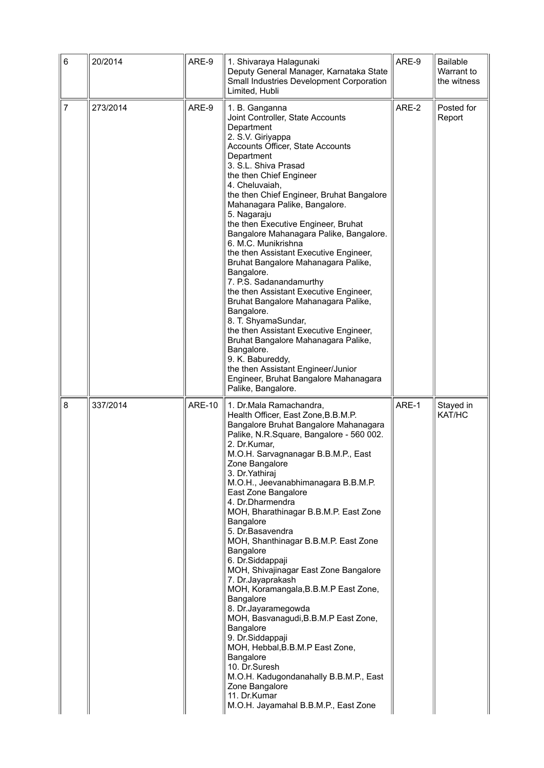| $\,6\,$        | 20/2014  | ARE-9         | 1. Shivaraya Halagunaki<br>Deputy General Manager, Karnataka State<br>Small Industries Development Corporation<br>Limited, Hubli                                                                                                                                                                                                                                                                                                                                                                                                                                                                                                                                                                                                                                                                                                                                                             | ARE-9 | <b>Bailable</b><br>Warrant to<br>the witness |
|----------------|----------|---------------|----------------------------------------------------------------------------------------------------------------------------------------------------------------------------------------------------------------------------------------------------------------------------------------------------------------------------------------------------------------------------------------------------------------------------------------------------------------------------------------------------------------------------------------------------------------------------------------------------------------------------------------------------------------------------------------------------------------------------------------------------------------------------------------------------------------------------------------------------------------------------------------------|-------|----------------------------------------------|
| $\overline{7}$ | 273/2014 | ARE-9         | 1. B. Ganganna<br>Joint Controller, State Accounts<br>Department<br>2. S.V. Giriyappa<br>Accounts Officer, State Accounts<br>Department<br>3. S.L. Shiva Prasad<br>the then Chief Engineer<br>4. Cheluvaiah,<br>the then Chief Engineer, Bruhat Bangalore<br>Mahanagara Palike, Bangalore.<br>5. Nagaraju<br>the then Executive Engineer, Bruhat<br>Bangalore Mahanagara Palike, Bangalore.<br>6. M.C. Munikrishna<br>the then Assistant Executive Engineer,<br>Bruhat Bangalore Mahanagara Palike,<br>Bangalore.<br>7. P.S. Sadanandamurthy<br>the then Assistant Executive Engineer,<br>Bruhat Bangalore Mahanagara Palike,<br>Bangalore.<br>8. T. ShyamaSundar,<br>the then Assistant Executive Engineer,<br>Bruhat Bangalore Mahanagara Palike,<br>Bangalore.<br>9. K. Babureddy,<br>the then Assistant Engineer/Junior<br>Engineer, Bruhat Bangalore Mahanagara<br>Palike, Bangalore.   | ARE-2 | Posted for<br>Report                         |
| 8              | 337/2014 | <b>ARE-10</b> | 1. Dr.Mala Ramachandra,<br>Health Officer, East Zone, B.B.M.P.<br>Bangalore Bruhat Bangalore Mahanagara<br>Palike, N.R.Square, Bangalore - 560 002.<br>2. Dr.Kumar,<br>M.O.H. Sarvagnanagar B.B.M.P., East<br>Zone Bangalore<br>3. Dr. Yathiraj<br>M.O.H., Jeevanabhimanagara B.B.M.P.<br>East Zone Bangalore<br>4. Dr.Dharmendra<br>MOH, Bharathinagar B.B.M.P. East Zone<br>Bangalore<br>5. Dr.Basavendra<br>MOH, Shanthinagar B.B.M.P. East Zone<br>Bangalore<br>6. Dr.Siddappaji<br>MOH, Shivajinagar East Zone Bangalore<br>7. Dr.Jayaprakash<br>MOH, Koramangala, B.B.M.P East Zone,<br>Bangalore<br>8. Dr.Jayaramegowda<br>MOH, Basvanagudi, B.B.M.P East Zone,<br>Bangalore<br>9. Dr.Siddappaji<br>MOH, Hebbal, B.B.M.P East Zone,<br>Bangalore<br>10. Dr.Suresh<br>M.O.H. Kadugondanahally B.B.M.P., East<br>Zone Bangalore<br>11. Dr.Kumar<br>M.O.H. Jayamahal B.B.M.P., East Zone | ARE-1 | Stayed in<br>KAT/HC                          |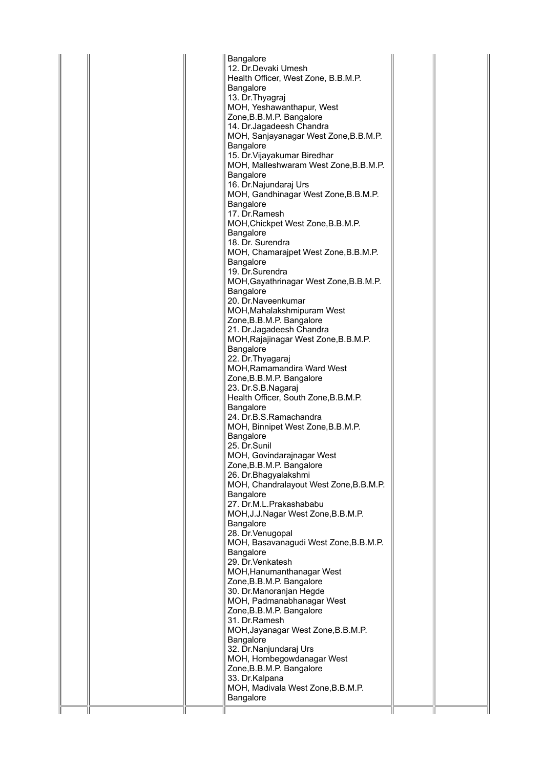| Bangalore                                                             |  |
|-----------------------------------------------------------------------|--|
| 12. Dr.Devaki Umesh                                                   |  |
| Health Officer, West Zone, B.B.M.P.                                   |  |
| <b>Bangalore</b>                                                      |  |
| 13. Dr. Thyagraj                                                      |  |
| MOH, Yeshawanthapur, West                                             |  |
| Zone, B.B.M.P. Bangalore                                              |  |
| 14. Dr. Jagadeesh Chandra                                             |  |
| MOH, Sanjayanagar West Zone, B.B.M.P.                                 |  |
| <b>Bangalore</b>                                                      |  |
| 15. Dr. Vijayakumar Biredhar<br>MOH, Malleshwaram West Zone, B.B.M.P. |  |
| <b>Bangalore</b>                                                      |  |
| 16. Dr. Najundaraj Urs                                                |  |
| MOH, Gandhinagar West Zone, B.B.M.P.                                  |  |
| Bangalore                                                             |  |
| 17. Dr.Ramesh                                                         |  |
| MOH, Chickpet West Zone, B.B.M.P.                                     |  |
| Bangalore                                                             |  |
| 18. Dr. Surendra                                                      |  |
| MOH, Chamarajpet West Zone, B.B.M.P.                                  |  |
| <b>Bangalore</b>                                                      |  |
| 19. Dr.Surendra                                                       |  |
| MOH, Gayathrinagar West Zone, B.B.M.P.<br>Bangalore                   |  |
| 20. Dr.Naveenkumar                                                    |  |
| MOH, Mahalakshmipuram West                                            |  |
| Zone, B.B.M.P. Bangalore                                              |  |
| 21. Dr.Jagadeesh Chandra                                              |  |
| MOH, Rajajinagar West Zone, B.B.M.P.                                  |  |
| <b>Bangalore</b>                                                      |  |
| 22. Dr. Thyagaraj                                                     |  |
| <b>MOH, Ramamandira Ward West</b>                                     |  |
| Zone, B.B.M.P. Bangalore                                              |  |
| 23. Dr.S.B.Nagaraj                                                    |  |
| Health Officer, South Zone, B.B.M.P.                                  |  |
| Bangalore<br>24. Dr.B.S.Ramachandra                                   |  |
| MOH, Binnipet West Zone, B.B.M.P.                                     |  |
| Bangalore                                                             |  |
| 25. Dr.Sunil                                                          |  |
| MOH, Govindarajnagar West                                             |  |
| Zone, B.B.M.P. Bangalore                                              |  |
| 26. Dr.Bhagyalakshmi                                                  |  |
| MOH, Chandralayout West Zone, B.B.M.P.                                |  |
| Bangalore                                                             |  |
| 27. Dr.M.L.Prakashababu                                               |  |
| MOH, J.J. Nagar West Zone, B.B.M.P.                                   |  |
| Bangalore<br>28. Dr. Venugopal                                        |  |
| MOH, Basavanagudi West Zone, B.B.M.P.                                 |  |
| <b>Bangalore</b>                                                      |  |
| 29. Dr. Venkatesh                                                     |  |
| MOH, Hanumanthanagar West                                             |  |
| Zone, B.B.M.P. Bangalore                                              |  |
| 30. Dr.Manoranjan Hegde                                               |  |
| MOH, Padmanabhanagar West                                             |  |
| Zone, B.B.M.P. Bangalore                                              |  |
| 31. Dr.Ramesh                                                         |  |
| MOH, Jayanagar West Zone, B.B.M.P.                                    |  |
| <b>Bangalore</b>                                                      |  |
| 32. Dr.Nanjundaraj Urs<br>MOH, Hombegowdanagar West                   |  |
| Zone, B.B.M.P. Bangalore                                              |  |
| 33. Dr.Kalpana                                                        |  |
| MOH, Madivala West Zone, B.B.M.P.                                     |  |
| Bangalore                                                             |  |

 $\mathbb{I}$ 

 $\mathbb{I}$ 

 $\mathbb{I}$ 

Ť

 $\mathbb{I}$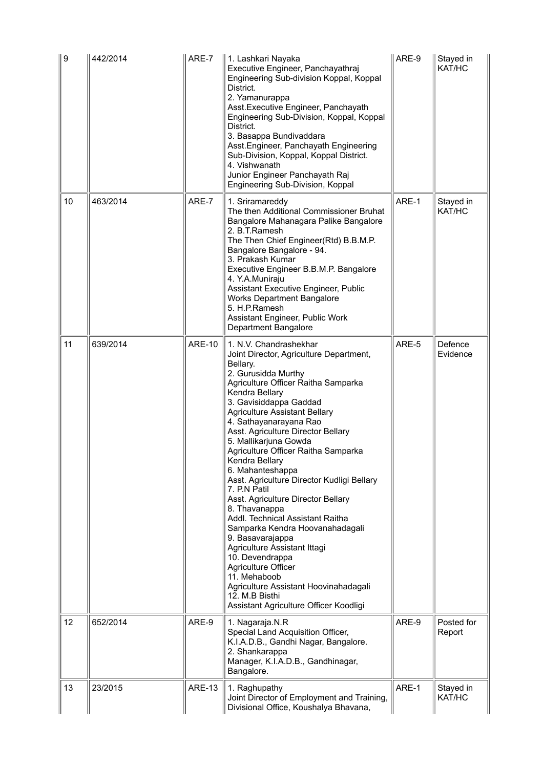| ∥9 | 442/2014 | ARE-7         | 1. Lashkari Nayaka<br>Executive Engineer, Panchayathraj<br>Engineering Sub-division Koppal, Koppal<br>District.<br>2. Yamanurappa<br>Asst. Executive Engineer, Panchayath<br>Engineering Sub-Division, Koppal, Koppal<br>District.<br>3. Basappa Bundivaddara<br>Asst. Engineer, Panchayath Engineering<br>Sub-Division, Koppal, Koppal District.<br>4. Vishwanath<br>Junior Engineer Panchayath Raj<br>Engineering Sub-Division, Koppal                                                                                                                                                                                                                                                                                                                                                                                    | ARE-9 | Stayed in<br>KAT/HC  |
|----|----------|---------------|-----------------------------------------------------------------------------------------------------------------------------------------------------------------------------------------------------------------------------------------------------------------------------------------------------------------------------------------------------------------------------------------------------------------------------------------------------------------------------------------------------------------------------------------------------------------------------------------------------------------------------------------------------------------------------------------------------------------------------------------------------------------------------------------------------------------------------|-------|----------------------|
| 10 | 463/2014 | ARE-7         | 1. Sriramareddy<br>The then Additional Commissioner Bruhat<br>Bangalore Mahanagara Palike Bangalore<br>2. B.T.Ramesh<br>The Then Chief Engineer(Rtd) B.B.M.P.<br>Bangalore Bangalore - 94.<br>3. Prakash Kumar<br>Executive Engineer B.B.M.P. Bangalore<br>4. Y.A.Muniraju<br>Assistant Executive Engineer, Public<br><b>Works Department Bangalore</b><br>5. H.P.Ramesh<br>Assistant Engineer, Public Work<br><b>Department Bangalore</b>                                                                                                                                                                                                                                                                                                                                                                                  | ARE-1 | Stayed in<br>KAT/HC  |
| 11 | 639/2014 | <b>ARE-10</b> | 1. N.V. Chandrashekhar<br>Joint Director, Agriculture Department,<br>Bellary.<br>2. Gurusidda Murthy<br>Agriculture Officer Raitha Samparka<br>Kendra Bellary<br>3. Gavisiddappa Gaddad<br><b>Agriculture Assistant Bellary</b><br>4. Sathayanarayana Rao<br>Asst. Agriculture Director Bellary<br>5. Mallikarjuna Gowda<br>Agriculture Officer Raitha Samparka<br>Kendra Bellary<br>6. Mahanteshappa<br>Asst. Agriculture Director Kudligi Bellary<br>7. P.N Patil<br>Asst. Agriculture Director Bellary<br>8. Thavanappa<br>Addl. Technical Assistant Raitha<br>Samparka Kendra Hoovanahadagali<br>9. Basavarajappa<br>Agriculture Assistant Ittagi<br>10. Devendrappa<br><b>Agriculture Officer</b><br>11. Mehaboob<br>Agriculture Assistant Hoovinahadagali<br>12. M.B Bisthi<br>Assistant Agriculture Officer Koodligi | ARE-5 | Defence<br>Evidence  |
| 12 | 652/2014 | ARE-9         | 1. Nagaraja.N.R<br>Special Land Acquisition Officer,<br>K.I.A.D.B., Gandhi Nagar, Bangalore.<br>2. Shankarappa<br>Manager, K.I.A.D.B., Gandhinagar,<br>Bangalore.                                                                                                                                                                                                                                                                                                                                                                                                                                                                                                                                                                                                                                                           | ARE-9 | Posted for<br>Report |
| 13 | 23/2015  | <b>ARE-13</b> | 1. Raghupathy<br>Joint Director of Employment and Training,<br>Divisional Office, Koushalya Bhavana,                                                                                                                                                                                                                                                                                                                                                                                                                                                                                                                                                                                                                                                                                                                        | ARE-1 | Stayed in<br>KAT/HC  |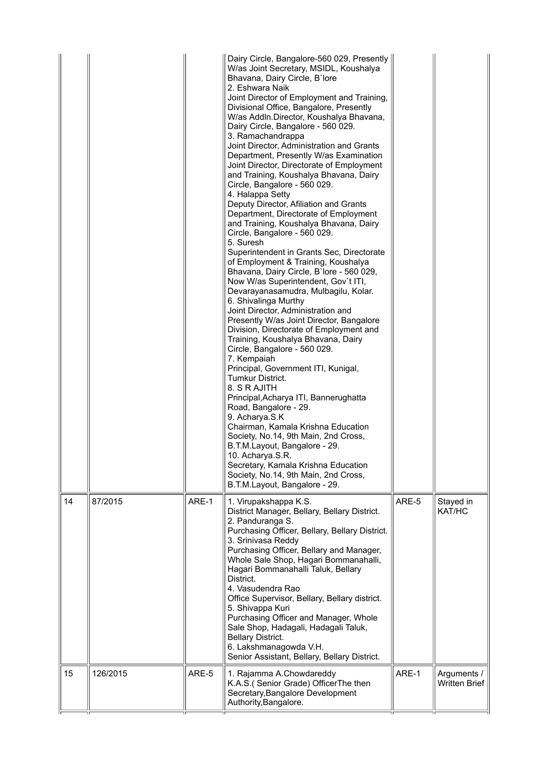|    |          |       | Dairy Circle, Bangalore-560 029, Presently<br>W/as Joint Secretary, MSIDL, Koushalya<br>Bhavana, Dairy Circle, B'lore<br>2. Eshwara Naik<br>Joint Director of Employment and Training,<br>Divisional Office, Bangalore, Presently<br>W/as Addln.Director, Koushalya Bhavana,<br>Dairy Circle, Bangalore - 560 029.<br>3. Ramachandrappa<br>Joint Director, Administration and Grants<br>Department, Presently W/as Examination<br>Joint Director, Directorate of Employment<br>and Training, Koushalya Bhavana, Dairy<br>Circle, Bangalore - 560 029.<br>4. Halappa Setty<br>Deputy Director, Afiliation and Grants<br>Department, Directorate of Employment<br>and Training, Koushalya Bhavana, Dairy<br>Circle, Bangalore - 560 029.<br>5. Suresh<br>Superintendent in Grants Sec, Directorate<br>of Employment & Training, Koushalya<br>Bhavana, Dairy Circle, B'lore - 560 029,<br>Now W/as Superintendent, Gov't ITI,<br>Devarayanasamudra, Mulbagilu, Kolar.<br>6. Shivalinga Murthy<br>Joint Director, Administration and<br>Presently W/as Joint Director, Bangalore<br>Division, Directorate of Employment and<br>Training, Koushalya Bhavana, Dairy<br>Circle, Bangalore - 560 029.<br>7. Kempaiah<br>Principal, Government ITI, Kunigal,<br>Tumkur District.<br>8. S R AJITH<br>Principal, Acharya ITI, Bannerughatta<br>Road, Bangalore - 29.<br>9. Acharya.S.K<br>Chairman, Kamala Krishna Education<br>Society, No.14, 9th Main, 2nd Cross,<br>B.T.M.Layout, Bangalore - 29.<br>10. Acharya.S.R.<br>Secretary, Kamala Krishna Education<br>Society, No.14, 9th Main, 2nd Cross,<br>B.T.M.Layout, Bangalore - 29. |       |                                     |
|----|----------|-------|--------------------------------------------------------------------------------------------------------------------------------------------------------------------------------------------------------------------------------------------------------------------------------------------------------------------------------------------------------------------------------------------------------------------------------------------------------------------------------------------------------------------------------------------------------------------------------------------------------------------------------------------------------------------------------------------------------------------------------------------------------------------------------------------------------------------------------------------------------------------------------------------------------------------------------------------------------------------------------------------------------------------------------------------------------------------------------------------------------------------------------------------------------------------------------------------------------------------------------------------------------------------------------------------------------------------------------------------------------------------------------------------------------------------------------------------------------------------------------------------------------------------------------------------------------------------------------------------------------------------------------|-------|-------------------------------------|
| 14 | 87/2015  | ARE-1 | 1. Virupakshappa K.S.<br>District Manager, Bellary, Bellary District.<br>2. Panduranga S.<br>Purchasing Officer, Bellary, Bellary District.<br>3. Srinivasa Reddy<br>Purchasing Officer, Bellary and Manager,<br>Whole Sale Shop, Hagari Bommanahalli,<br>Hagari Bommanahalli Taluk, Bellary<br>District.<br>4. Vasudendra Rao<br>Office Supervisor, Bellary, Bellary district.<br>5. Shivappa Kuri<br>Purchasing Officer and Manager, Whole<br>Sale Shop, Hadagali, Hadagali Taluk,<br><b>Bellary District.</b><br>6. Lakshmanagowda V.H.<br>Senior Assistant, Bellary, Bellary District.                                                                                                                                                                                                                                                                                                                                                                                                                                                                                                                                                                                                                                                                                                                                                                                                                                                                                                                                                                                                                                     | ARE-5 | Stayed in<br>KAT/HC                 |
| 15 | 126/2015 | ARE-5 | 1. Rajamma A.Chowdareddy<br>K.A.S.( Senior Grade) OfficerThe then<br>Secretary, Bangalore Development<br>Authority, Bangalore.                                                                                                                                                                                                                                                                                                                                                                                                                                                                                                                                                                                                                                                                                                                                                                                                                                                                                                                                                                                                                                                                                                                                                                                                                                                                                                                                                                                                                                                                                                 | ARE-1 | Arguments /<br><b>Written Brief</b> |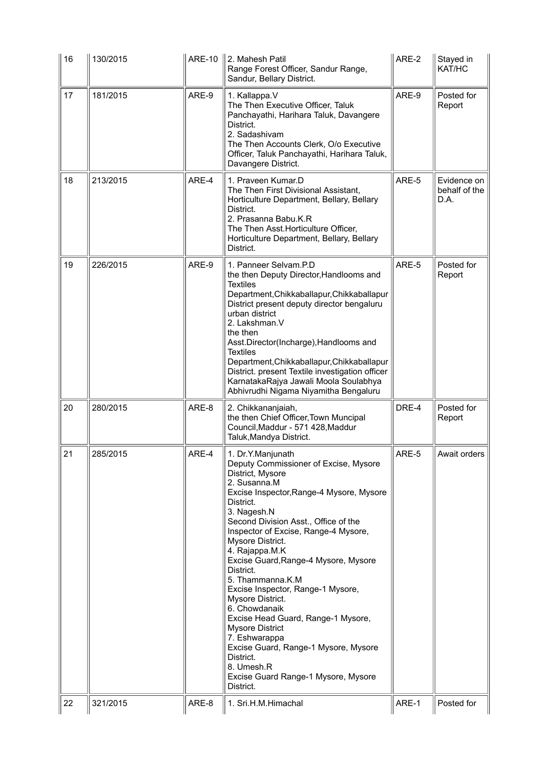| 16 | 130/2015 | <b>ARE-10</b> | 2. Mahesh Patil<br>Range Forest Officer, Sandur Range,<br>Sandur, Bellary District.                                                                                                                                                                                                                                                                                                                                                                                                                                                                                                                                                                     | ARE-2 | Stayed in<br>KAT/HC                  |
|----|----------|---------------|---------------------------------------------------------------------------------------------------------------------------------------------------------------------------------------------------------------------------------------------------------------------------------------------------------------------------------------------------------------------------------------------------------------------------------------------------------------------------------------------------------------------------------------------------------------------------------------------------------------------------------------------------------|-------|--------------------------------------|
| 17 | 181/2015 | ARE-9         | 1. Kallappa.V<br>The Then Executive Officer, Taluk<br>Panchayathi, Harihara Taluk, Davangere<br>District.<br>2. Sadashivam<br>The Then Accounts Clerk, O/o Executive<br>Officer, Taluk Panchayathi, Harihara Taluk,<br>Davangere District.                                                                                                                                                                                                                                                                                                                                                                                                              | ARE-9 | Posted for<br>Report                 |
| 18 | 213/2015 | ARE-4         | 1. Praveen Kumar.D<br>The Then First Divisional Assistant,<br>Horticulture Department, Bellary, Bellary<br>District.<br>2. Prasanna Babu.K.R<br>The Then Asst. Horticulture Officer,<br>Horticulture Department, Bellary, Bellary<br>District.                                                                                                                                                                                                                                                                                                                                                                                                          | ARE-5 | Evidence on<br>behalf of the<br>D.A. |
| 19 | 226/2015 | ARE-9         | 1. Panneer Selvam.P.D<br>the then Deputy Director, Handlooms and<br><b>Textiles</b><br>Department, Chikkaballapur, Chikkaballapur<br>District present deputy director bengaluru<br>urban district<br>2. Lakshman.V<br>the then<br>Asst.Director(Incharge), Handlooms and<br><b>Textiles</b><br>Department, Chikkaballapur, Chikkaballapur<br>District. present Textile investigation officer<br>KarnatakaRajya Jawali Moola Soulabhya<br>Abhivrudhi Nigama Niyamitha Bengaluru                                                                                                                                                                          | ARE-5 | Posted for<br>Report                 |
| 20 | 280/2015 | ARE-8         | 2. Chikkananjaiah,<br>the then Chief Officer, Town Muncipal<br>Council, Maddur - 571 428, Maddur<br>Taluk, Mandya District.                                                                                                                                                                                                                                                                                                                                                                                                                                                                                                                             | DRE-4 | Posted for<br>Report                 |
| 21 | 285/2015 | ARE-4         | 1. Dr.Y.Manjunath<br>Deputy Commissioner of Excise, Mysore<br>District, Mysore<br>2. Susanna.M<br>Excise Inspector, Range-4 Mysore, Mysore<br>District.<br>3. Nagesh.N<br>Second Division Asst., Office of the<br>Inspector of Excise, Range-4 Mysore,<br>Mysore District.<br>4. Rajappa.M.K<br>Excise Guard, Range-4 Mysore, Mysore<br>District.<br>5. Thammanna.K.M<br>Excise Inspector, Range-1 Mysore,<br>Mysore District.<br>6. Chowdanaik<br>Excise Head Guard, Range-1 Mysore,<br><b>Mysore District</b><br>7. Eshwarappa<br>Excise Guard, Range-1 Mysore, Mysore<br>District.<br>8. Umesh.R<br>Excise Guard Range-1 Mysore, Mysore<br>District. | ARE-5 | Await orders                         |
| 22 | 321/2015 | ARE-8         | 1. Sri.H.M.Himachal                                                                                                                                                                                                                                                                                                                                                                                                                                                                                                                                                                                                                                     | ARE-1 | Posted for                           |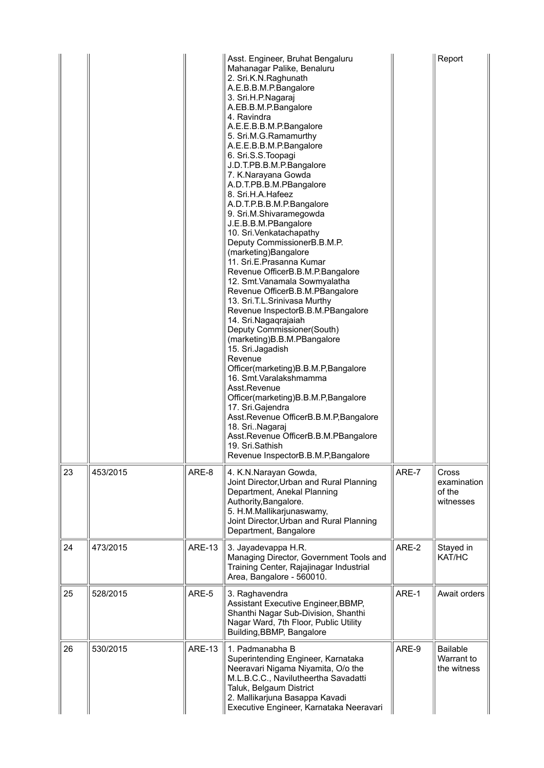|    |          |               | Asst. Engineer, Bruhat Bengaluru<br>Mahanagar Palike, Benaluru<br>2. Sri.K.N.Raghunath<br>A.E.B.B.M.P.Bangalore<br>3. Sri.H.P.Nagaraj<br>A.EB.B.M.P.Bangalore<br>4. Ravindra<br>A.E.E.B.B.M.P.Bangalore<br>5. Sri.M.G.Ramamurthy<br>A.E.E.B.B.M.P.Bangalore<br>6. Sri.S.S. Toopagi<br>J.D.T.PB.B.M.P.Bangalore<br>7. K.Narayana Gowda<br>A.D.T.PB.B.M.PBangalore<br>8. Sri.H.A.Hafeez<br>A.D.T.P.B.B.M.P.Bangalore<br>9. Sri.M.Shivaramegowda<br>J.E.B.B.M.PBangalore<br>10. Sri. Venkatachapathy<br>Deputy CommissionerB.B.M.P.<br>(marketing)Bangalore<br>11. Sri.E.Prasanna Kumar<br>Revenue OfficerB.B.M.P.Bangalore<br>12. Smt. Vanamala Sowmyalatha<br>Revenue OfficerB.B.M.PBangalore<br>13. Sri.T.L.Srinivasa Murthy<br>Revenue InspectorB.B.M.PBangalore<br>14. Sri.Nagaqrajaiah<br>Deputy Commissioner(South)<br>(marketing)B.B.M.PBangalore<br>15. Sri.Jagadish<br>Revenue<br>Officer(marketing)B.B.M.P,Bangalore<br>16. Smt. Varalakshmamma<br>Asst.Revenue<br>Officer(marketing)B.B.M.P,Bangalore<br>17. Sri.Gajendra<br>Asst.Revenue OfficerB.B.M.P,Bangalore<br>18. Sri. Nagaraj<br>Asst.Revenue OfficerB.B.M.PBangalore<br>19. Sri.Sathish<br>Revenue InspectorB.B.M.P, Bangalore |       | Report                                       |
|----|----------|---------------|---------------------------------------------------------------------------------------------------------------------------------------------------------------------------------------------------------------------------------------------------------------------------------------------------------------------------------------------------------------------------------------------------------------------------------------------------------------------------------------------------------------------------------------------------------------------------------------------------------------------------------------------------------------------------------------------------------------------------------------------------------------------------------------------------------------------------------------------------------------------------------------------------------------------------------------------------------------------------------------------------------------------------------------------------------------------------------------------------------------------------------------------------------------------------------------------------|-------|----------------------------------------------|
| 23 | 453/2015 | ARE-8         | 4. K.N.Narayan Gowda,<br>Joint Director, Urban and Rural Planning<br>Department, Anekal Planning<br>Authority, Bangalore.<br>5. H.M.Mallikarjunaswamy,<br>Joint Director, Urban and Rural Planning<br>Department, Bangalore                                                                                                                                                                                                                                                                                                                                                                                                                                                                                                                                                                                                                                                                                                                                                                                                                                                                                                                                                                       | ARE-7 | Cross<br>examination<br>of the<br>witnesses  |
| 24 | 473/2015 | <b>ARE-13</b> | 3. Jayadevappa H.R.<br>Managing Director, Government Tools and<br>Training Center, Rajajinagar Industrial<br>Area, Bangalore - 560010.                                                                                                                                                                                                                                                                                                                                                                                                                                                                                                                                                                                                                                                                                                                                                                                                                                                                                                                                                                                                                                                            | ARE-2 | Stayed in<br>KAT/HC                          |
| 25 | 528/2015 | ARE-5         | 3. Raghavendra<br>Assistant Executive Engineer, BBMP,<br>Shanthi Nagar Sub-Division, Shanthi<br>Nagar Ward, 7th Floor, Public Utility<br>Building, BBMP, Bangalore                                                                                                                                                                                                                                                                                                                                                                                                                                                                                                                                                                                                                                                                                                                                                                                                                                                                                                                                                                                                                                | ARE-1 | Await orders                                 |
| 26 | 530/2015 | <b>ARE-13</b> | 1. Padmanabha B<br>Superintending Engineer, Karnataka<br>Neeravari Nigama Niyamita, O/o the<br>M.L.B.C.C., Navilutheertha Savadatti<br>Taluk, Belgaum District<br>2. Mallikarjuna Basappa Kavadi<br>Executive Engineer, Karnataka Neeravari                                                                                                                                                                                                                                                                                                                                                                                                                                                                                                                                                                                                                                                                                                                                                                                                                                                                                                                                                       | ARE-9 | <b>Bailable</b><br>Warrant to<br>the witness |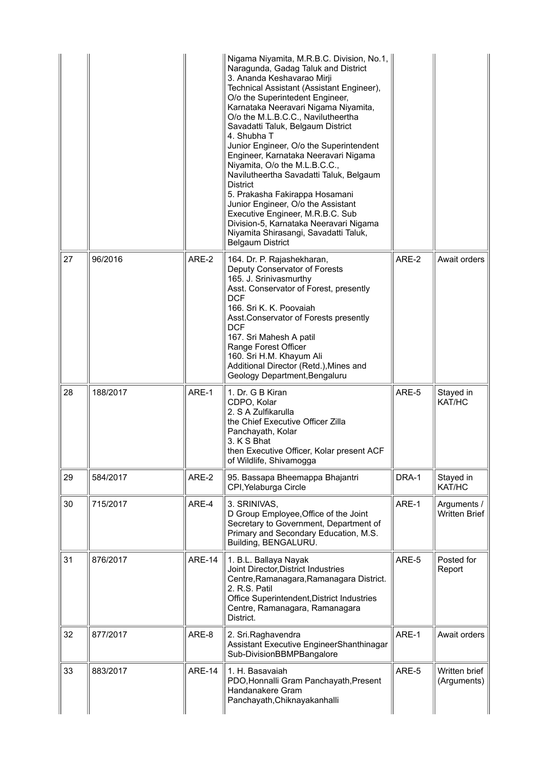|    |          |               | Nigama Niyamita, M.R.B.C. Division, No.1,<br>Naragunda, Gadag Taluk and District<br>3. Ananda Keshavarao Mirji<br>Technical Assistant (Assistant Engineer),<br>O/o the Superintedent Engineer,<br>Karnataka Neeravari Nigama Niyamita,<br>O/o the M.L.B.C.C., Navilutheertha<br>Savadatti Taluk, Belgaum District<br>4. Shubha T<br>Junior Engineer, O/o the Superintendent<br>Engineer, Karnataka Neeravari Nigama<br>Niyamita, O/o the M.L.B.C.C.,<br>Navilutheertha Savadatti Taluk, Belgaum<br><b>District</b><br>5. Prakasha Fakirappa Hosamani<br>Junior Engineer, O/o the Assistant<br>Executive Engineer, M.R.B.C. Sub<br>Division-5, Karnataka Neeravari Nigama<br>Niyamita Shirasangi, Savadatti Taluk,<br><b>Belgaum District</b> |       |                                     |
|----|----------|---------------|----------------------------------------------------------------------------------------------------------------------------------------------------------------------------------------------------------------------------------------------------------------------------------------------------------------------------------------------------------------------------------------------------------------------------------------------------------------------------------------------------------------------------------------------------------------------------------------------------------------------------------------------------------------------------------------------------------------------------------------------|-------|-------------------------------------|
| 27 | 96/2016  | ARE-2         | 164. Dr. P. Rajashekharan,<br>Deputy Conservator of Forests<br>165. J. Srinivasmurthy<br>Asst. Conservator of Forest, presently<br><b>DCF</b><br>166. Sri K. K. Poovaiah<br>Asst.Conservator of Forests presently<br><b>DCF</b><br>167. Sri Mahesh A patil<br>Range Forest Officer<br>160. Sri H.M. Khayum Ali<br>Additional Director (Retd.), Mines and<br>Geology Department, Bengaluru                                                                                                                                                                                                                                                                                                                                                    | ARE-2 | Await orders                        |
| 28 | 188/2017 | ARE-1         | 1. Dr. G B Kiran<br>CDPO, Kolar<br>2. S A Zulfikarulla<br>the Chief Executive Officer Zilla<br>Panchayath, Kolar<br>3. K S Bhat<br>then Executive Officer, Kolar present ACF<br>of Wildlife, Shivamogga                                                                                                                                                                                                                                                                                                                                                                                                                                                                                                                                      | ARE-5 | Stayed in<br>KAT/HC                 |
| 29 | 584/2017 | ARE-2         | 95. Bassapa Bheemappa Bhajantri<br>CPI, Yelaburga Circle                                                                                                                                                                                                                                                                                                                                                                                                                                                                                                                                                                                                                                                                                     | DRA-1 | Stayed in<br>KAT/HC                 |
| 30 | 715/2017 | ARE-4         | 3. SRINIVAS,<br>D Group Employee, Office of the Joint<br>Secretary to Government, Department of<br>Primary and Secondary Education, M.S.<br>Building, BENGALURU.                                                                                                                                                                                                                                                                                                                                                                                                                                                                                                                                                                             | ARE-1 | Arguments /<br><b>Written Brief</b> |
| 31 | 876/2017 | <b>ARE-14</b> | 1. B.L. Ballaya Nayak<br>Joint Director, District Industries<br>Centre, Ramanagara, Ramanagara District.<br>2. R.S. Patil<br>Office Superintendent, District Industries<br>Centre, Ramanagara, Ramanagara<br>District.                                                                                                                                                                                                                                                                                                                                                                                                                                                                                                                       | ARE-5 | Posted for<br>Report                |
| 32 | 877/2017 | ARE-8         | 2. Sri.Raghavendra<br>Assistant Executive EngineerShanthinagar<br>Sub-DivisionBBMPBangalore                                                                                                                                                                                                                                                                                                                                                                                                                                                                                                                                                                                                                                                  | ARE-1 | Await orders                        |
| 33 | 883/2017 | <b>ARE-14</b> | 1. H. Basavaiah<br>PDO, Honnalli Gram Panchayath, Present<br>Handanakere Gram<br>Panchayath, Chiknayakanhalli                                                                                                                                                                                                                                                                                                                                                                                                                                                                                                                                                                                                                                | ARE-5 | Written brief<br>(Arguments)        |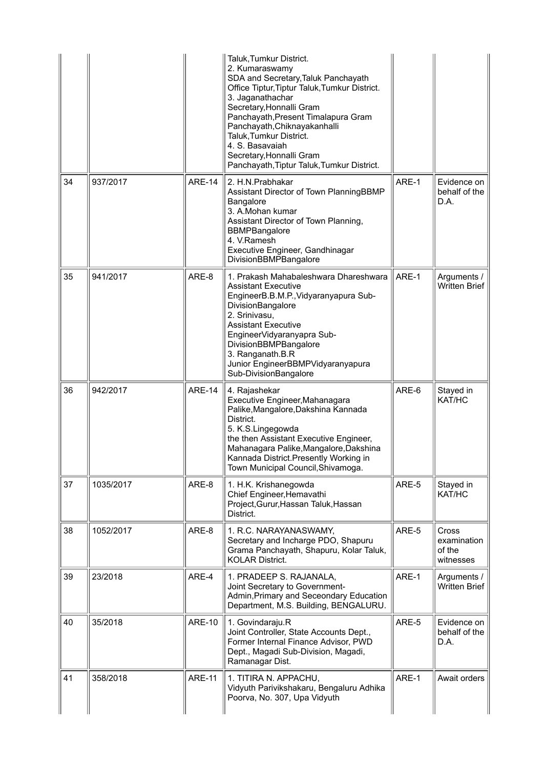|    |           |               | Taluk, Tumkur District.<br>2. Kumaraswamy<br>SDA and Secretary, Taluk Panchayath<br>Office Tiptur, Tiptur Taluk, Tumkur District.<br>3. Jaganathachar<br>Secretary, Honnalli Gram<br>Panchayath, Present Timalapura Gram<br>Panchayath, Chiknayakanhalli<br>Taluk, Tumkur District.<br>4. S. Basavaiah<br>Secretary, Honnalli Gram<br>Panchayath, Tiptur Taluk, Tumkur District. |       |                                             |
|----|-----------|---------------|----------------------------------------------------------------------------------------------------------------------------------------------------------------------------------------------------------------------------------------------------------------------------------------------------------------------------------------------------------------------------------|-------|---------------------------------------------|
| 34 | 937/2017  | <b>ARE-14</b> | 2. H.N.Prabhakar<br>Assistant Director of Town PlanningBBMP<br>Bangalore<br>3. A.Mohan kumar<br>Assistant Director of Town Planning,<br><b>BBMPBangalore</b><br>4. V.Ramesh<br>Executive Engineer, Gandhinagar<br>DivisionBBMPBangalore                                                                                                                                          | ARE-1 | Evidence on<br>behalf of the<br>D.A.        |
| 35 | 941/2017  | ARE-8         | 1. Prakash Mahabaleshwara Dhareshwara<br><b>Assistant Executive</b><br>EngineerB.B.M.P., Vidyaranyapura Sub-<br>DivisionBangalore<br>2. Srinivasu,<br><b>Assistant Executive</b><br>EngineerVidyaranyapra Sub-<br>DivisionBBMPBangalore<br>3. Ranganath.B.R<br>Junior EngineerBBMPVidyaranyapura<br>Sub-DivisionBangalore                                                        | ARE-1 | Arguments /<br><b>Written Brief</b>         |
| 36 | 942/2017  | <b>ARE-14</b> | 4. Rajashekar<br>Executive Engineer, Mahanagara<br>Palike, Mangalore, Dakshina Kannada<br>District.<br>5. K.S.Lingegowda<br>the then Assistant Executive Engineer,<br>Mahanagara Palike, Mangalore, Dakshina                                                                                                                                                                     | ARE-6 | Stayed in<br>KAT/HC                         |
|    |           |               | Kannada District. Presently Working in<br>Town Municipal Council, Shivamoga.                                                                                                                                                                                                                                                                                                     |       |                                             |
| 37 | 1035/2017 | ARE-8         | 1. H.K. Krishanegowda<br>Chief Engineer, Hemavathi<br>Project, Gurur, Hassan Taluk, Hassan<br>District.                                                                                                                                                                                                                                                                          | ARE-5 | Stayed in<br>KAT/HC                         |
| 38 | 1052/2017 | ARE-8         | 1. R.C. NARAYANASWAMY,<br>Secretary and Incharge PDO, Shapuru<br>Grama Panchayath, Shapuru, Kolar Taluk,<br><b>KOLAR District.</b>                                                                                                                                                                                                                                               | ARE-5 | Cross<br>examination<br>of the<br>witnesses |
| 39 | 23/2018   | ARE-4         | 1. PRADEEP S. RAJANALA,<br>Joint Secretary to Government-<br>Admin, Primary and Seceondary Education<br>Department, M.S. Building, BENGALURU.                                                                                                                                                                                                                                    | ARE-1 | Arguments /<br><b>Written Brief</b>         |
| 40 | 35/2018   | <b>ARE-10</b> | 1. Govindaraju.R<br>Joint Controller, State Accounts Dept.,<br>Former Internal Finance Advisor, PWD<br>Dept., Magadi Sub-Division, Magadi,<br>Ramanagar Dist.                                                                                                                                                                                                                    | ARE-5 | Evidence on<br>behalf of the<br>D.A.        |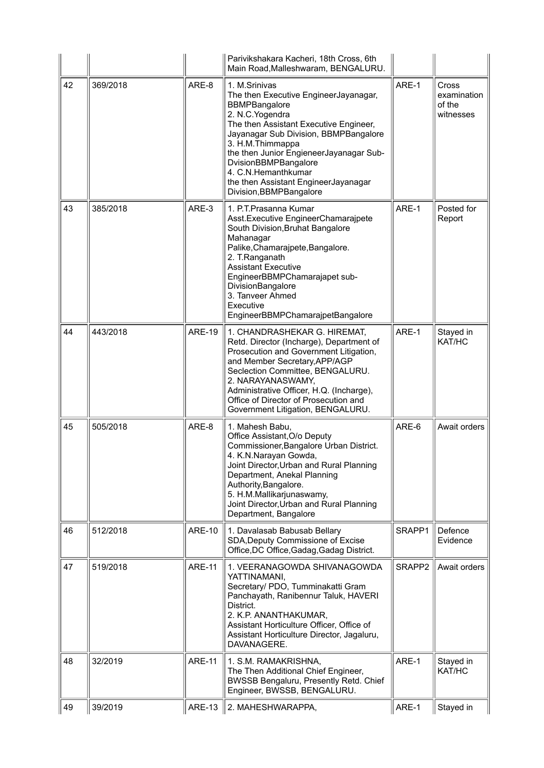|    |          |               | Parivikshakara Kacheri, 18th Cross, 6th<br>Main Road, Malleshwaram, BENGALURU.                                                                                                                                                                                                                                                                                         |        |                                             |
|----|----------|---------------|------------------------------------------------------------------------------------------------------------------------------------------------------------------------------------------------------------------------------------------------------------------------------------------------------------------------------------------------------------------------|--------|---------------------------------------------|
| 42 | 369/2018 | ARE-8         | 1. M.Srinivas<br>The then Executive EngineerJayanagar,<br><b>BBMPBangalore</b><br>2. N.C. Yogendra<br>The then Assistant Executive Engineer,<br>Jayanagar Sub Division, BBMPBangalore<br>3. H.M.Thimmappa<br>the then Junior EngieneerJayanagar Sub-<br>DvisionBBMPBangalore<br>4. C.N.Hemanthkumar<br>the then Assistant EngineerJayanagar<br>Division, BBMPBangalore | ARE-1  | Cross<br>examination<br>of the<br>witnesses |
| 43 | 385/2018 | ARE-3         | 1. P.T. Prasanna Kumar<br>Asst. Executive Engineer Chamarajpete<br>South Division, Bruhat Bangalore<br>Mahanagar<br>Palike, Chamarajpete, Bangalore.<br>2. T.Ranganath<br><b>Assistant Executive</b><br>EngineerBBMPChamarajapet sub-<br>DivisionBangalore<br>3. Tanveer Ahmed<br>Executive<br>EngineerBBMPChamarajpetBangalore                                        | ARE-1  | Posted for<br>Report                        |
| 44 | 443/2018 | <b>ARE-19</b> | 1. CHANDRASHEKAR G. HIREMAT,<br>Retd. Director (Incharge), Department of<br>Prosecution and Government Litigation,<br>and Member Secretary, APP/AGP<br>Seclection Committee, BENGALURU.<br>2. NARAYANASWAMY,<br>Administrative Officer, H.Q. (Incharge),<br>Office of Director of Prosecution and<br>Government Litigation, BENGALURU.                                 | ARE-1  | Stayed in<br>KAT/HC                         |
| 45 | 505/2018 | ARE-8         | 1. Mahesh Babu,<br>Office Assistant, O/o Deputy<br>Commissioner, Bangalore Urban District.<br>4. K.N.Narayan Gowda,<br>Joint Director, Urban and Rural Planning<br>Department, Anekal Planning<br>Authority, Bangalore.<br>5. H.M.Mallikarjunaswamy,<br>Joint Director, Urban and Rural Planning<br>Department, Bangalore                                              | ARE-6  | Await orders                                |
| 46 | 512/2018 | <b>ARE-10</b> | 1. Davalasab Babusab Bellary<br>SDA, Deputy Commissione of Excise<br>Office, DC Office, Gadag, Gadag District.                                                                                                                                                                                                                                                         | SRAPP1 | Defence<br>Evidence                         |
| 47 | 519/2018 | <b>ARE-11</b> | 1. VEERANAGOWDA SHIVANAGOWDA<br>YATTINAMANI,<br>Secretary/ PDO, Tumminakatti Gram<br>Panchayath, Ranibennur Taluk, HAVERI<br>District.<br>2. K.P. ANANTHAKUMAR,<br>Assistant Horticulture Officer, Office of<br>Assistant Horticulture Director, Jagaluru,<br>DAVANAGERE.                                                                                              | SRAPP2 | Await orders                                |
| 48 | 32/2019  | <b>ARE-11</b> | 1. S.M. RAMAKRISHNA,<br>The Then Additional Chief Engineer,<br>BWSSB Bengaluru, Presently Retd. Chief<br>Engineer, BWSSB, BENGALURU.                                                                                                                                                                                                                                   | ARE-1  | Stayed in<br>KAT/HC                         |
| 49 | 39/2019  | <b>ARE-13</b> | 2. MAHESHWARAPPA,                                                                                                                                                                                                                                                                                                                                                      | ARE-1  | Stayed in                                   |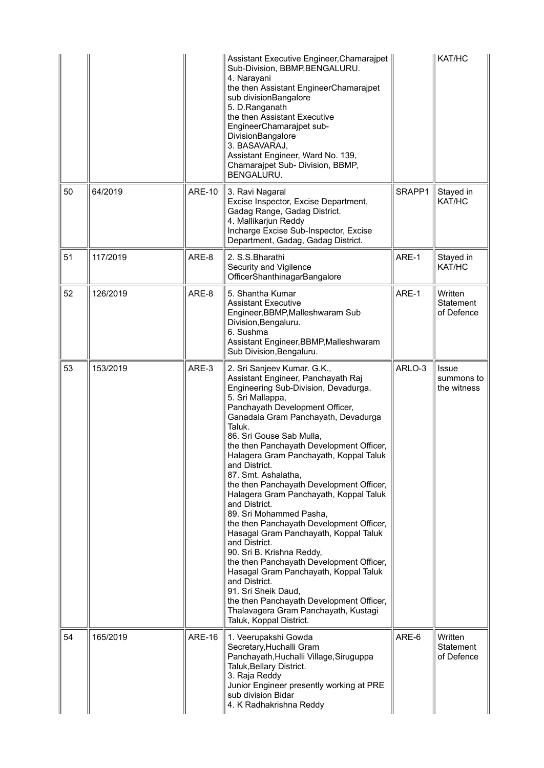|    |          |               | Assistant Executive Engineer, Chamarajpet<br>Sub-Division, BBMP, BENGALURU.<br>4. Narayani<br>the then Assistant EngineerChamarajpet<br>sub divisionBangalore<br>5. D.Ranganath<br>the then Assistant Executive<br>EngineerChamarajpet sub-<br>DivisionBangalore<br>3. BASAVARAJ,<br>Assistant Engineer, Ward No. 139,<br>Chamarajpet Sub- Division, BBMP,<br>BENGALURU.                                                                                                                                                                                                                                                                                                                                                                                                                                                                                                                     |        | KAT/HC                             |
|----|----------|---------------|----------------------------------------------------------------------------------------------------------------------------------------------------------------------------------------------------------------------------------------------------------------------------------------------------------------------------------------------------------------------------------------------------------------------------------------------------------------------------------------------------------------------------------------------------------------------------------------------------------------------------------------------------------------------------------------------------------------------------------------------------------------------------------------------------------------------------------------------------------------------------------------------|--------|------------------------------------|
| 50 | 64/2019  | <b>ARE-10</b> | 3. Ravi Nagaral<br>Excise Inspector, Excise Department,<br>Gadag Range, Gadag District.<br>4. Mallikarjun Reddy<br>Incharge Excise Sub-Inspector, Excise<br>Department, Gadag, Gadag District.                                                                                                                                                                                                                                                                                                                                                                                                                                                                                                                                                                                                                                                                                               | SRAPP1 | Stayed in<br>KAT/HC                |
| 51 | 117/2019 | ARE-8         | 2. S.S.Bharathi<br>Security and Vigilence<br>OfficerShanthinagarBangalore                                                                                                                                                                                                                                                                                                                                                                                                                                                                                                                                                                                                                                                                                                                                                                                                                    | ARE-1  | Stayed in<br>KAT/HC                |
| 52 | 126/2019 | ARE-8         | 5. Shantha Kumar<br><b>Assistant Executive</b><br>Engineer, BBMP, Malleshwaram Sub<br>Division, Bengaluru.<br>6. Sushma<br>Assistant Engineer, BBMP, Malleshwaram<br>Sub Division, Bengaluru.                                                                                                                                                                                                                                                                                                                                                                                                                                                                                                                                                                                                                                                                                                | ARE-1  | Written<br>Statement<br>of Defence |
| 53 | 153/2019 | ARE-3         | 2. Sri Sanjeev Kumar. G.K.,<br>Assistant Engineer, Panchayath Raj<br>Engineering Sub-Division, Devadurga.<br>5. Sri Mallappa,<br>Panchayath Development Officer,<br>Ganadala Gram Panchayath, Devadurga<br>Taluk.<br>86. Sri Gouse Sab Mulla,<br>the then Panchayath Development Officer,<br>Halagera Gram Panchayath, Koppal Taluk<br>and District.<br>87. Smt. Ashalatha,<br>the then Panchayath Development Officer,<br>Halagera Gram Panchayath, Koppal Taluk<br>and District.<br>89. Sri Mohammed Pasha,<br>the then Panchayath Development Officer,<br>Hasagal Gram Panchayath, Koppal Taluk<br>and District.<br>90. Sri B. Krishna Reddy,<br>the then Panchayath Development Officer,<br>Hasagal Gram Panchayath, Koppal Taluk<br>and District.<br>91. Sri Sheik Daud,<br>the then Panchayath Development Officer,<br>Thalavagera Gram Panchayath, Kustagi<br>Taluk, Koppal District. | ARLO-3 | Issue<br>summons to<br>the witness |
| 54 | 165/2019 | <b>ARE-16</b> | 1. Veerupakshi Gowda<br>Secretary, Huchalli Gram<br>Panchayath, Huchalli Village, Siruguppa<br>Taluk, Bellary District.<br>3. Raja Reddy<br>Junior Engineer presently working at PRE<br>sub division Bidar<br>4. K Radhakrishna Reddy                                                                                                                                                                                                                                                                                                                                                                                                                                                                                                                                                                                                                                                        | ARE-6  | Written<br>Statement<br>of Defence |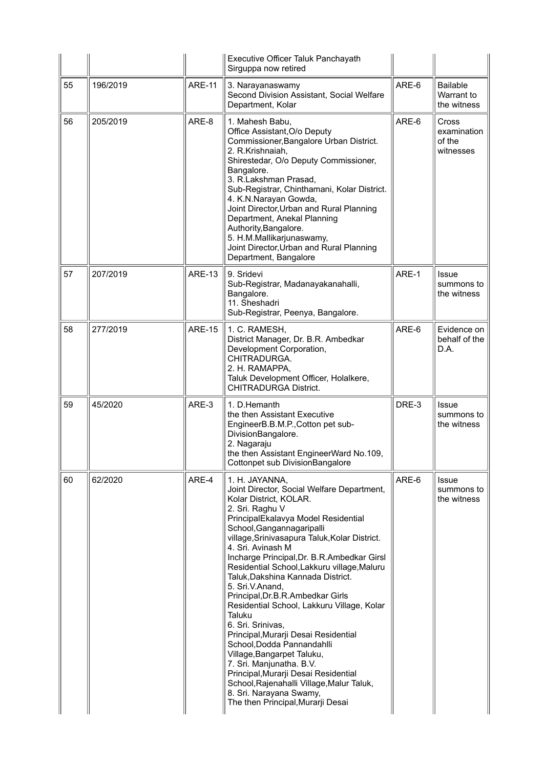|    |          |               | Executive Officer Taluk Panchayath<br>Sirguppa now retired                                                                                                                                                                                                                                                                                                                                                                                                                                                                                                                                                                                                                                                                                                                                                     |       |                                              |
|----|----------|---------------|----------------------------------------------------------------------------------------------------------------------------------------------------------------------------------------------------------------------------------------------------------------------------------------------------------------------------------------------------------------------------------------------------------------------------------------------------------------------------------------------------------------------------------------------------------------------------------------------------------------------------------------------------------------------------------------------------------------------------------------------------------------------------------------------------------------|-------|----------------------------------------------|
| 55 | 196/2019 | <b>ARE-11</b> | 3. Narayanaswamy<br>Second Division Assistant, Social Welfare<br>Department, Kolar                                                                                                                                                                                                                                                                                                                                                                                                                                                                                                                                                                                                                                                                                                                             | ARE-6 | <b>Bailable</b><br>Warrant to<br>the witness |
| 56 | 205/2019 | ARE-8         | 1. Mahesh Babu,<br>Office Assistant, O/o Deputy<br>Commissioner, Bangalore Urban District.<br>2. R.Krishnaiah,<br>Shirestedar, O/o Deputy Commissioner,<br>Bangalore.<br>3. R.Lakshman Prasad,<br>Sub-Registrar, Chinthamani, Kolar District.<br>4. K.N.Narayan Gowda,<br>Joint Director, Urban and Rural Planning<br>Department, Anekal Planning<br>Authority, Bangalore.<br>5. H.M.Mallikarjunaswamy,<br>Joint Director, Urban and Rural Planning<br>Department, Bangalore                                                                                                                                                                                                                                                                                                                                   | ARE-6 | Cross<br>examination<br>of the<br>witnesses  |
| 57 | 207/2019 | <b>ARE-13</b> | 9. Sridevi<br>Sub-Registrar, Madanayakanahalli,<br>Bangalore.<br>11. Sheshadri<br>Sub-Registrar, Peenya, Bangalore.                                                                                                                                                                                                                                                                                                                                                                                                                                                                                                                                                                                                                                                                                            | ARE-1 | Issue<br>summons to<br>the witness           |
| 58 | 277/2019 | <b>ARE-15</b> | 1. C. RAMESH,<br>District Manager, Dr. B.R. Ambedkar<br>Development Corporation,<br>CHITRADURGA.<br>2. H. RAMAPPA,<br>Taluk Development Officer, Holalkere,<br><b>CHITRADURGA District.</b>                                                                                                                                                                                                                                                                                                                                                                                                                                                                                                                                                                                                                    | ARE-6 | Evidence on<br>behalf of the<br>D.A.         |
| 59 | 45/2020  | ARE-3         | 1. D.Hemanth<br>the then Assistant Executive<br>EngineerB.B.M.P., Cotton pet sub-<br>DivisionBangalore.<br>2. Nagaraju<br>the then Assistant EngineerWard No.109,<br><b>Cottonpet sub DivisionBangalore</b>                                                                                                                                                                                                                                                                                                                                                                                                                                                                                                                                                                                                    | DRE-3 | <b>Issue</b><br>summons to<br>the witness    |
| 60 | 62/2020  | ARE-4         | 1. H. JAYANNA,<br>Joint Director, Social Welfare Department,<br>Kolar District, KOLAR.<br>2. Sri. Raghu V<br>PrincipalEkalavya Model Residential<br>School, Gangannagaripalli<br>village, Srinivasapura Taluk, Kolar District.<br>4. Sri. Avinash M<br>Incharge Principal, Dr. B.R.Ambedkar Girsl<br>Residential School, Lakkuru village, Maluru<br>Taluk, Dakshina Kannada District.<br>5. Sri.V.Anand,<br>Principal, Dr.B.R.Ambedkar Girls<br>Residential School, Lakkuru Village, Kolar<br>Taluku<br>6. Sri. Srinivas,<br>Principal, Murarji Desai Residential<br>School, Dodda Pannandahlli<br>Village, Bangarpet Taluku,<br>7. Sri. Manjunatha. B.V.<br>Principal, Murarji Desai Residential<br>School, Rajenahalli Village, Malur Taluk,<br>8. Sri. Narayana Swamy,<br>The then Principal, Murarji Desai | ARE-6 | <b>Issue</b><br>summons to<br>the witness    |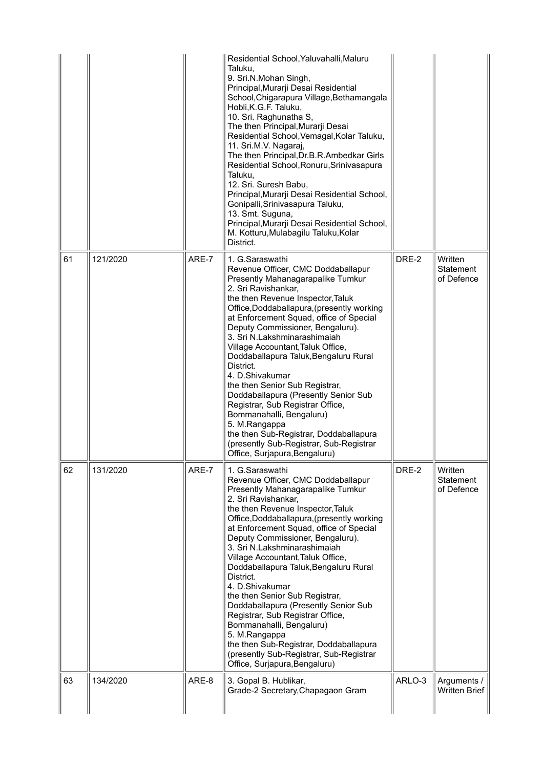|    |          |       | Residential School, Yaluvahalli, Maluru<br>Taluku,<br>9. Sri.N.Mohan Singh,<br>Principal, Murarji Desai Residential<br>School, Chigarapura Village, Bethamangala<br>Hobli, K.G.F. Taluku,<br>10. Sri. Raghunatha S,<br>The then Principal, Murarji Desai<br>Residential School, Vemagal, Kolar Taluku,<br>11. Sri.M.V. Nagaraj,<br>The then Principal, Dr.B.R.Ambedkar Girls<br>Residential School, Ronuru, Srinivasapura<br>Taluku,<br>12. Sri. Suresh Babu,<br>Principal, Murarji Desai Residential School,<br>Gonipalli, Srinivasapura Taluku,<br>13. Smt. Suguna,<br>Principal, Murarji Desai Residential School,<br>M. Kotturu, Mulabagilu Taluku, Kolar<br>District.                                         |        |                                           |
|----|----------|-------|--------------------------------------------------------------------------------------------------------------------------------------------------------------------------------------------------------------------------------------------------------------------------------------------------------------------------------------------------------------------------------------------------------------------------------------------------------------------------------------------------------------------------------------------------------------------------------------------------------------------------------------------------------------------------------------------------------------------|--------|-------------------------------------------|
| 61 | 121/2020 | ARE-7 | 1. G.Saraswathi<br>Revenue Officer, CMC Doddaballapur<br>Presently Mahanagarapalike Tumkur<br>2. Sri Ravishankar,<br>the then Revenue Inspector, Taluk<br>Office, Doddaballapura, (presently working<br>at Enforcement Squad, office of Special<br>Deputy Commissioner, Bengaluru).<br>3. Sri N.Lakshminarashimaiah<br>Village Accountant, Taluk Office,<br>Doddaballapura Taluk, Bengaluru Rural<br>District.<br>4. D.Shivakumar<br>the then Senior Sub Registrar,<br>Doddaballapura (Presently Senior Sub<br>Registrar, Sub Registrar Office,<br>Bommanahalli, Bengaluru)<br>5. M.Rangappa<br>the then Sub-Registrar, Doddaballapura<br>(presently Sub-Registrar, Sub-Registrar<br>Office, Surjapura, Bengaluru) | DRE-2  | Written<br>Statement<br>of Defence        |
| 62 | 131/2020 | ARE-7 | 1. G.Saraswathi<br>Revenue Officer, CMC Doddaballapur<br>Presently Mahanagarapalike Tumkur<br>2. Sri Ravishankar,<br>the then Revenue Inspector, Taluk<br>Office, Doddaballapura, (presently working<br>at Enforcement Squad, office of Special<br>Deputy Commissioner, Bengaluru).<br>3. Sri N.Lakshminarashimaiah<br>Village Accountant, Taluk Office,<br>Doddaballapura Taluk, Bengaluru Rural<br>District.<br>4. D.Shivakumar<br>the then Senior Sub Registrar,<br>Doddaballapura (Presently Senior Sub<br>Registrar, Sub Registrar Office,<br>Bommanahalli, Bengaluru)<br>5. M.Rangappa<br>the then Sub-Registrar, Doddaballapura<br>(presently Sub-Registrar, Sub-Registrar<br>Office, Surjapura, Bengaluru) | DRE-2  | Written<br><b>Statement</b><br>of Defence |
| 63 | 134/2020 | ARE-8 | 3. Gopal B. Hublikar,<br>Grade-2 Secretary, Chapagaon Gram                                                                                                                                                                                                                                                                                                                                                                                                                                                                                                                                                                                                                                                         | ARLO-3 | Arguments /<br>Written Brief              |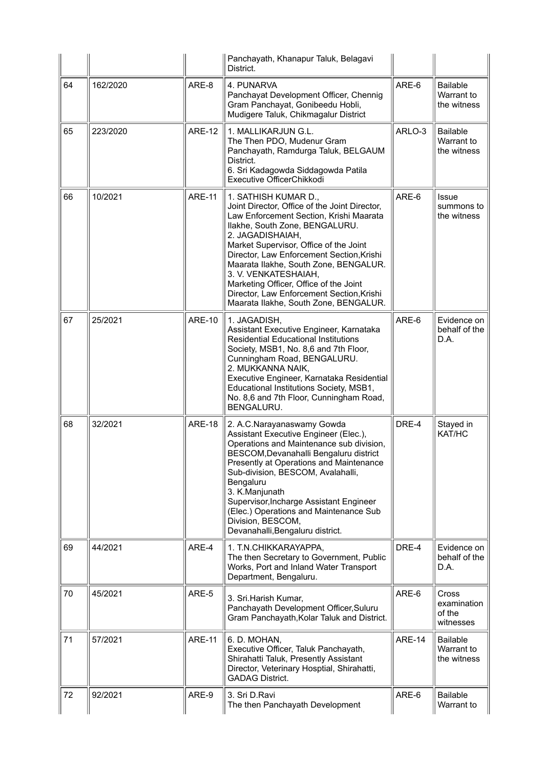|    |          |               | Panchayath, Khanapur Taluk, Belagavi<br>District.                                                                                                                                                                                                                                                                                                                                                                                                              |               |                                              |
|----|----------|---------------|----------------------------------------------------------------------------------------------------------------------------------------------------------------------------------------------------------------------------------------------------------------------------------------------------------------------------------------------------------------------------------------------------------------------------------------------------------------|---------------|----------------------------------------------|
| 64 | 162/2020 | ARE-8         | 4. PUNARVA<br>Panchayat Development Officer, Chennig<br>Gram Panchayat, Gonibeedu Hobli,<br>Mudigere Taluk, Chikmagalur District                                                                                                                                                                                                                                                                                                                               | ARE-6         | <b>Bailable</b><br>Warrant to<br>the witness |
| 65 | 223/2020 | <b>ARE-12</b> | 1. MALLIKARJUN G.L.<br>The Then PDO, Mudenur Gram<br>Panchayath, Ramdurga Taluk, BELGAUM<br>District.<br>6. Sri Kadagowda Siddagowda Patila<br>Executive OfficerChikkodi                                                                                                                                                                                                                                                                                       | ARLO-3        | <b>Bailable</b><br>Warrant to<br>the witness |
| 66 | 10/2021  | <b>ARE-11</b> | 1. SATHISH KUMAR D.,<br>Joint Director, Office of the Joint Director,<br>Law Enforcement Section, Krishi Maarata<br>Ilakhe, South Zone, BENGALURU.<br>2. JAGADISHAIAH,<br>Market Supervisor, Office of the Joint<br>Director, Law Enforcement Section, Krishi<br>Maarata Ilakhe, South Zone, BENGALUR.<br>3. V. VENKATESHAIAH,<br>Marketing Officer, Office of the Joint<br>Director, Law Enforcement Section, Krishi<br>Maarata Ilakhe, South Zone, BENGALUR. | ARE-6         | Issue<br>summons to<br>the witness           |
| 67 | 25/2021  | <b>ARE-10</b> | 1. JAGADISH,<br>Assistant Executive Engineer, Karnataka<br><b>Residential Educational Institutions</b><br>Society, MSB1, No. 8,6 and 7th Floor,<br>Cunningham Road, BENGALURU.<br>2. MUKKANNA NAIK,<br>Executive Engineer, Karnataka Residential<br>Educational Institutions Society, MSB1,<br>No. 8,6 and 7th Floor, Cunningham Road,<br>BENGALURU.                                                                                                           | ARE-6         | Evidence on<br>behalf of the<br>D.A.         |
| 68 | 32/2021  | <b>ARE-18</b> | 2. A.C.Narayanaswamy Gowda<br>Assistant Executive Engineer (Elec.),<br>Operations and Maintenance sub division,<br>BESCOM, Devanahalli Bengaluru district<br>Presently at Operations and Maintenance<br>Sub-division, BESCOM, Avalahalli,<br>Bengaluru<br>3. K.Manjunath<br>Supervisor, Incharge Assistant Engineer<br>(Elec.) Operations and Maintenance Sub<br>Division, BESCOM,<br>Devanahalli, Bengaluru district.                                         | DRE-4         | Stayed in<br>KAT/HC                          |
| 69 | 44/2021  | ARE-4         | 1. T.N.CHIKKARAYAPPA,<br>The then Secretary to Government, Public<br>Works, Port and Inland Water Transport<br>Department, Bengaluru.                                                                                                                                                                                                                                                                                                                          | DRE-4         | Evidence on<br>behalf of the<br>D.A.         |
| 70 | 45/2021  | ARE-5         | 3. Sri. Harish Kumar,<br>Panchayath Development Officer, Suluru<br>Gram Panchayath, Kolar Taluk and District.                                                                                                                                                                                                                                                                                                                                                  | ARE-6         | Cross<br>examination<br>of the<br>witnesses  |
| 71 | 57/2021  | <b>ARE-11</b> | 6. D. MOHAN,<br>Executive Officer, Taluk Panchayath,<br>Shirahatti Taluk, Presently Assistant<br>Director, Veterinary Hosptial, Shirahatti,<br><b>GADAG District.</b>                                                                                                                                                                                                                                                                                          | <b>ARE-14</b> | <b>Bailable</b><br>Warrant to<br>the witness |
| 72 | 92/2021  | ARE-9         | 3. Sri D.Ravi<br>The then Panchayath Development                                                                                                                                                                                                                                                                                                                                                                                                               | ARE-6         | <b>Bailable</b><br>Warrant to                |